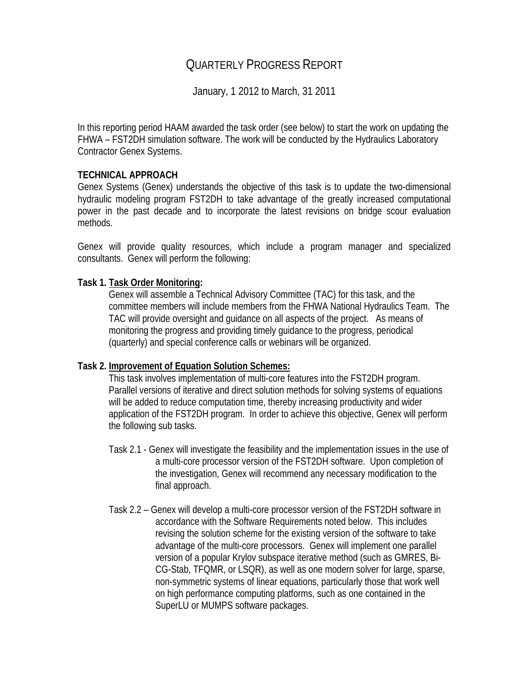# QUARTERLY PROGRESS REPORT

January, 1 2012 to March, 31 2011

In this reporting period HAAM awarded the task order (see below) to start the work on updating the FHWA – FST2DH simulation software. The work will be conducted by the Hydraulics Laboratory Contractor Genex Systems.

### **TECHNICAL APPROACH**

Genex Systems (Genex) understands the objective of this task is to update the two-dimensional hydraulic modeling program FST2DH to take advantage of the greatly increased computational power in the past decade and to incorporate the latest revisions on bridge scour evaluation methods.

Genex will provide quality resources, which include a program manager and specialized consultants. Genex will perform the following:

#### **Task 1. Task Order Monitoring:**

Genex will assemble a Technical Advisory Committee (TAC) for this task, and the committee members will include members from the FHWA National Hydraulics Team. The TAC will provide oversight and guidance on all aspects of the project. As means of monitoring the progress and providing timely guidance to the progress, periodical (quarterly) and special conference calls or webinars will be organized.

#### **Task 2. Improvement of Equation Solution Schemes:**

This task involves implementation of multi-core features into the FST2DH program. Parallel versions of iterative and direct solution methods for solving systems of equations will be added to reduce computation time, thereby increasing productivity and wider application of the FST2DH program. In order to achieve this objective, Genex will perform the following sub tasks.

- Task 2.1 Genex will investigate the feasibility and the implementation issues in the use of a multi-core processor version of the FST2DH software. Upon completion of the investigation, Genex will recommend any necessary modification to the final approach.
- Task 2.2 Genex will develop a multi-core processor version of the FST2DH software in accordance with the Software Requirements noted below. This includes revising the solution scheme for the existing version of the software to take advantage of the multi-core processors. Genex will implement one parallel version of a popular Krylov subspace iterative method (such as GMRES, Bi-CG-Stab, TFQMR, or LSQR), as well as one modern solver for large, sparse, non-symmetric systems of linear equations, particularly those that work well on high performance computing platforms, such as one contained in the SuperLU or MUMPS software packages.